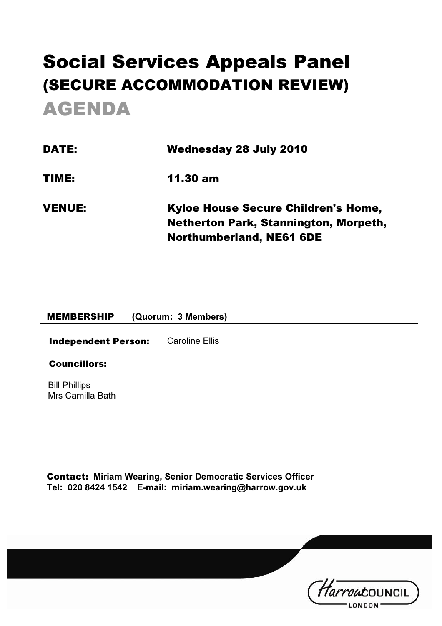# Social Services Appeals Panel (SECURE ACCOMMODATION REVIEW) AGENDA

| <b>DATE:</b>  | <b>Wednesday 28 July 2010</b>                                                              |  |
|---------------|--------------------------------------------------------------------------------------------|--|
| TIME:         | $11.30 \text{ am}$                                                                         |  |
| <b>VENUE:</b> | <b>Kyloe House Secure Children's Home,</b><br><b>Netherton Park, Stannington, Morpeth,</b> |  |
|               | <b>Northumberland, NE61 6DE</b>                                                            |  |

#### MEMBERSHIP (Quorum: 3 Members)

**Independent Person:** Caroline Ellis

#### Councillors:

Bill Phillips Mrs Camilla Bath

Contact: Miriam Wearing, Senior Democratic Services Officer Tel: 020 8424 1542 E-mail: miriam.wearing@harrow.gov.uk

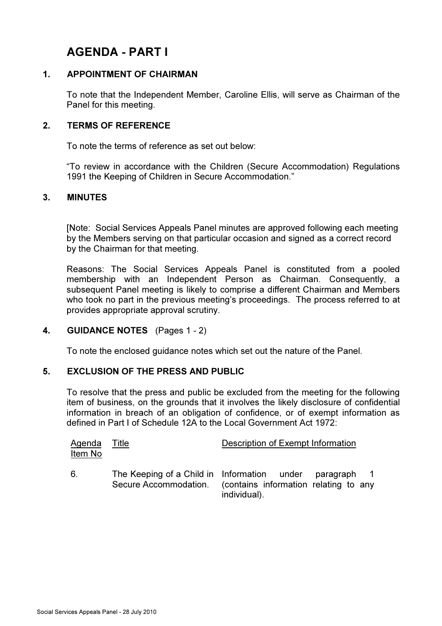### AGENDA - PART I

#### 1. APPOINTMENT OF CHAIRMAN

 To note that the Independent Member, Caroline Ellis, will serve as Chairman of the Panel for this meeting.

#### 2. TERMS OF REFERENCE

To note the terms of reference as set out below:

"To review in accordance with the Children (Secure Accommodation) Regulations 1991 the Keeping of Children in Secure Accommodation."

#### 3. MINUTES

[Note: Social Services Appeals Panel minutes are approved following each meeting by the Members serving on that particular occasion and signed as a correct record by the Chairman for that meeting.

Reasons: The Social Services Appeals Panel is constituted from a pooled membership with an Independent Person as Chairman. Consequently, a subsequent Panel meeting is likely to comprise a different Chairman and Members who took no part in the previous meeting's proceedings. The process referred to at provides appropriate approval scrutiny.

#### 4. GUIDANCE NOTES (Pages 1 - 2)

To note the enclosed guidance notes which set out the nature of the Panel.

#### 5. EXCLUSION OF THE PRESS AND PUBLIC

 To resolve that the press and public be excluded from the meeting for the following item of business, on the grounds that it involves the likely disclosure of confidential information in breach of an obligation of confidence, or of exempt information as defined in Part I of Schedule 12A to the Local Government Act 1972:

| <b>Agenda</b><br>Item No | <u>Title</u>          | Description of Exempt Information                                                                                |
|--------------------------|-----------------------|------------------------------------------------------------------------------------------------------------------|
| 6.                       | Secure Accommodation. | The Keeping of a Child in Information under paragraph 1<br>(contains information relating to any<br>individual). |